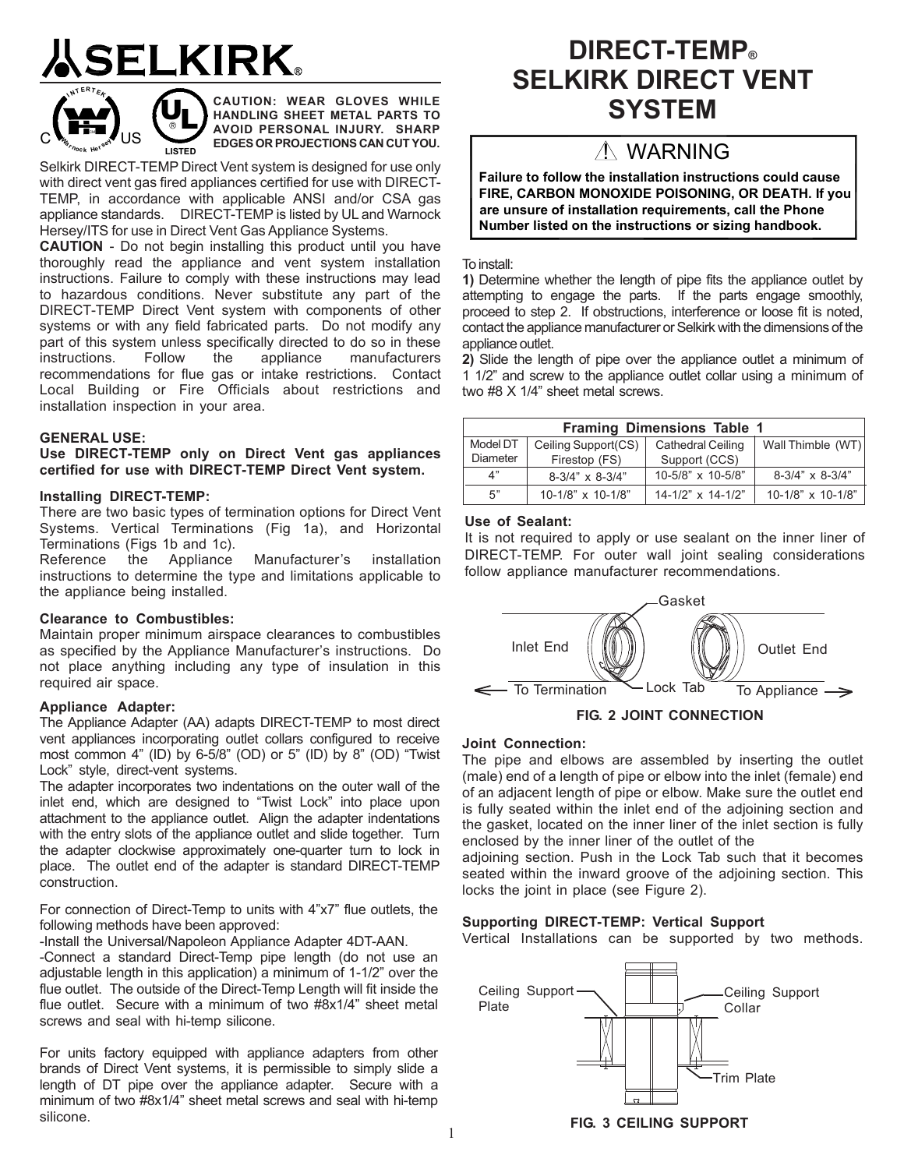## **SELKIRK**



**CAUTION: WEAR GLOVES WHILE HANDLING SHEET METAL PARTS TO AVOID PERSONAL INJURY. SHARP EDGES OR PROJECTIONS CAN CUT YOU.**

Selkirk DIRECT-TEMP Direct Vent system is designed for use only with direct vent gas fired appliances certified for use with DIRECT-TEMP, in accordance with applicable ANSI and/or CSA gas appliance standards. DIRECT-TEMP is listed by UL and Warnock Hersey/ITS for use in Direct Vent Gas Appliance Systems.

**CAUTION** - Do not begin installing this product until you have thoroughly read the appliance and vent system installation instructions. Failure to comply with these instructions may lead to hazardous conditions. Never substitute any part of the DIRECT-TEMP Direct Vent system with components of other systems or with any field fabricated parts. Do not modify any part of this system unless specifically directed to do so in these instructions. Follow the appliance manufacturers recommendations for flue gas or intake restrictions. Contact Local Building or Fire Officials about restrictions and installation inspection in your area.

#### **GENERAL USE:**

**Use DIRECT-TEMP only on Direct Vent gas appliances certified for use with DIRECT-TEMP Direct Vent system.**

#### **Installing DIRECT-TEMP:**

There are two basic types of termination options for Direct Vent Systems. Vertical Terminations (Fig 1a), and Horizontal Terminations (Figs 1b and 1c).

Reference the Appliance Manufacturer's installation instructions to determine the type and limitations applicable to the appliance being installed.

#### **Clearance to Combustibles:**

Maintain proper minimum airspace clearances to combustibles as specified by the Appliance Manufacturer's instructions. Do not place anything including any type of insulation in this required air space.

#### **Appliance Adapter:**

The Appliance Adapter (AA) adapts DIRECT-TEMP to most direct vent appliances incorporating outlet collars configured to receive most common 4" (ID) by 6-5/8" (OD) or 5" (ID) by 8" (OD) "Twist Lock" style, direct-vent systems.

The adapter incorporates two indentations on the outer wall of the inlet end, which are designed to "Twist Lock" into place upon attachment to the appliance outlet. Align the adapter indentations with the entry slots of the appliance outlet and slide together. Turn the adapter clockwise approximately one-quarter turn to lock in place. The outlet end of the adapter is standard DIRECT-TEMP construction.

For connection of Direct-Temp to units with 4"x7" flue outlets, the following methods have been approved:

-Install the Universal/Napoleon Appliance Adapter 4DT-AAN.

-Connect a standard Direct-Temp pipe length (do not use an adjustable length in this application) a minimum of 1-1/2" over the flue outlet. The outside of the Direct-Temp Length will fit inside the flue outlet. Secure with a minimum of two #8x1/4" sheet metal screws and seal with hi-temp silicone.

For units factory equipped with appliance adapters from other brands of Direct Vent systems, it is permissible to simply slide a length of DT pipe over the appliance adapter. Secure with a minimum of two #8x1/4" sheet metal screws and seal with hi-temp silicone.

## **DIRECT-TEMP® SELKIRK DIRECT VENT SYSTEM**

## A WARNING

**Failure to follow the installation instructions could cause FIRE, CARBON MONOXIDE POISONING, OR DEATH. If you are unsure of installation requirements, call the Phone Number listed on the instructions or sizing handbook.**

To install:

**1)** Determine whether the length of pipe fits the appliance outlet by attempting to engage the parts. If the parts engage smoothly, proceed to step 2. If obstructions, interference or loose fit is noted, contact the appliance manufacturer or Selkirk with the dimensions of the appliance outlet.

**2)** Slide the length of pipe over the appliance outlet a minimum of 1 1/2" and screw to the appliance outlet collar using a minimum of two #8 X 1/4" sheet metal screws.

| <b>Framing Dimensions Table 1</b> |                         |                          |                         |  |  |
|-----------------------------------|-------------------------|--------------------------|-------------------------|--|--|
| Model DT                          | Ceiling Support(CS)     | <b>Cathedral Ceiling</b> | Wall Thimble (WT)       |  |  |
| Diameter                          | Firestop (FS)           | Support (CCS)            |                         |  |  |
| 4"                                | $8-3/4" \times 8-3/4"$  | 10-5/8" x 10-5/8"        | $8-3/4" \times 8-3/4"$  |  |  |
| 5"                                | $10-1/8$ " x $10-1/8$ " | $14-1/2$ " x $14-1/2$ "  | $10-1/8$ " x $10-1/8$ " |  |  |

#### **Use of Sealant:**

It is not required to apply or use sealant on the inner liner of DIRECT-TEMP. For outer wall joint sealing considerations follow appliance manufacturer recommendations.



**FIG. 2 JOINT CONNECTION**

#### **Joint Connection:**

The pipe and elbows are assembled by inserting the outlet (male) end of a length of pipe or elbow into the inlet (female) end of an adjacent length of pipe or elbow. Make sure the outlet end is fully seated within the inlet end of the adjoining section and the gasket, located on the inner liner of the inlet section is fully enclosed by the inner liner of the outlet of the

adjoining section. Push in the Lock Tab such that it becomes seated within the inward groove of the adjoining section. This locks the joint in place (see Figure 2).

#### **Supporting DIRECT-TEMP: Vertical Support**

Vertical Installations can be supported by two methods.



**FIG. 3 CEILING SUPPORT**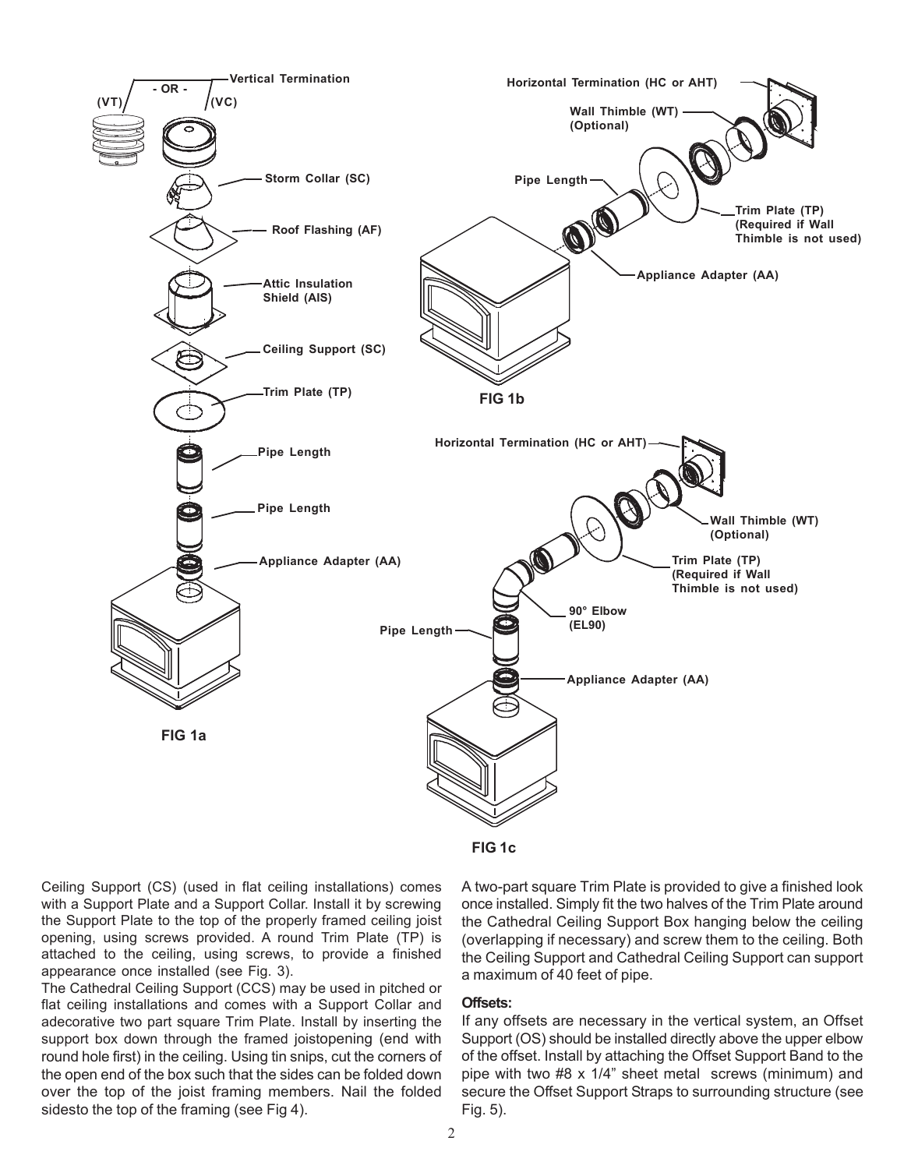

Ceiling Support (CS) (used in flat ceiling installations) comes with a Support Plate and a Support Collar. Install it by screwing the Support Plate to the top of the properly framed ceiling joist opening, using screws provided. A round Trim Plate (TP) is attached to the ceiling, using screws, to provide a finished appearance once installed (see Fig. 3).

The Cathedral Ceiling Support (CCS) may be used in pitched or flat ceiling installations and comes with a Support Collar and adecorative two part square Trim Plate. Install by inserting the support box down through the framed joistopening (end with round hole first) in the ceiling. Using tin snips, cut the corners of the open end of the box such that the sides can be folded down over the top of the joist framing members. Nail the folded sidesto the top of the framing (see Fig 4).

A two-part square Trim Plate is provided to give a finished look once installed. Simply fit the two halves of the Trim Plate around the Cathedral Ceiling Support Box hanging below the ceiling (overlapping if necessary) and screw them to the ceiling. Both the Ceiling Support and Cathedral Ceiling Support can support a maximum of 40 feet of pipe.

#### **Offsets:**

If any offsets are necessary in the vertical system, an Offset Support (OS) should be installed directly above the upper elbow of the offset. Install by attaching the Offset Support Band to the pipe with two #8 x 1/4" sheet metal screws (minimum) and secure the Offset Support Straps to surrounding structure (see Fig. 5).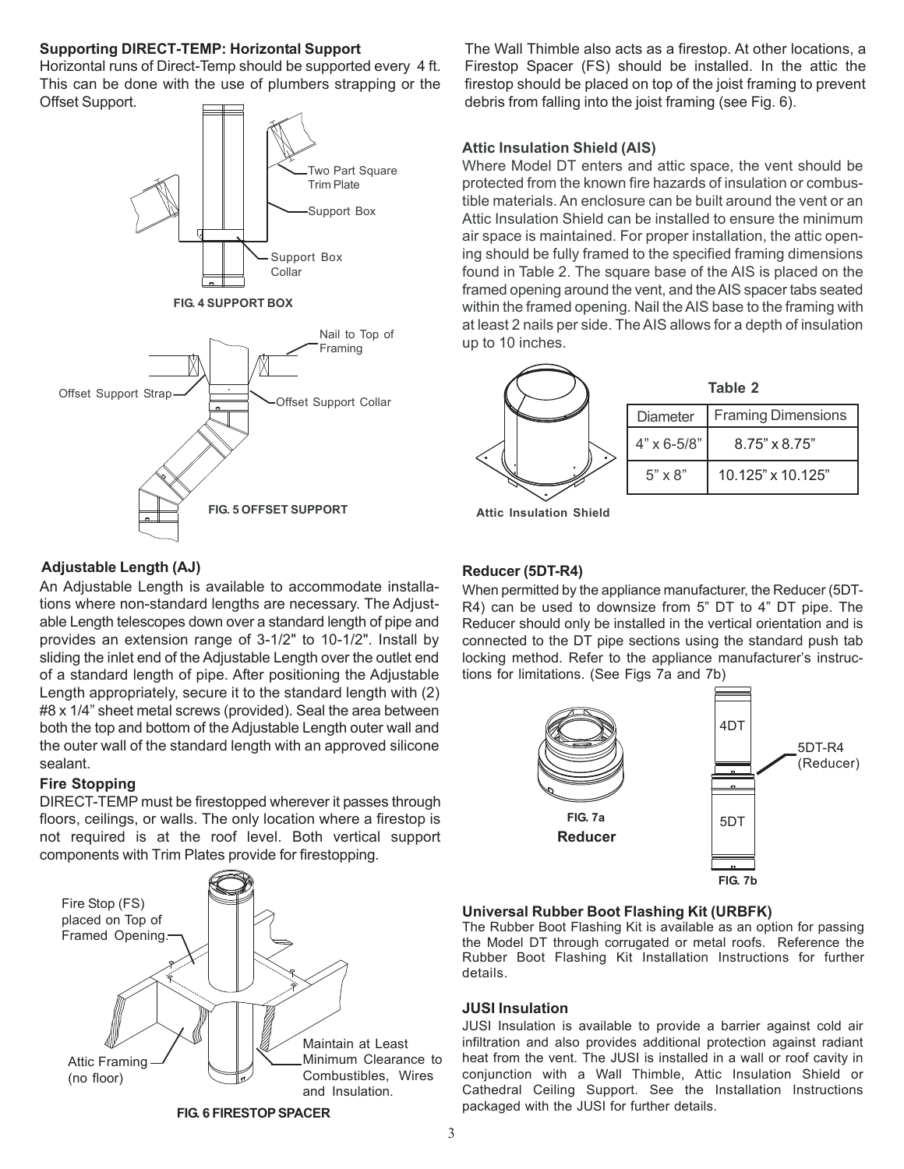#### **Supporting DIRECT-TEMP: Horizontal Support**

Horizontal runs of Direct-Temp should be supported every 4 ft. This can be done with the use of plumbers strapping or the Offset Support.





The Wall Thimble also acts as a firestop. At other locations, a Firestop Spacer (FS) should be installed. In the attic the firestop should be placed on top of the joist framing to prevent debris from falling into the joist framing (see Fig. 6).

#### **Attic Insulation Shield (AIS)**

Where Model DT enters and attic space, the vent should be protected from the known fire hazards of insulation or combustible materials. An enclosure can be built around the vent or an Attic Insulation Shield can be installed to ensure the minimum air space is maintained. For proper installation, the attic opening should be fully framed to the specified framing dimensions found in Table 2. The square base of the AIS is placed on the framed opening around the vent, and the AIS spacer tabs seated within the framed opening. Nail the AIS base to the framing with at least 2 nails per side. The AIS allows for a depth of insulation up to 10 inches.

| Table 2              |                           |  |
|----------------------|---------------------------|--|
| <b>Diameter</b>      | <b>Framing Dimensions</b> |  |
| $4" \times 6 - 5/8"$ | $8.75" \times 8.75"$      |  |
| $5" \times 8"$       | 10.125" x 10.125"         |  |

**Attic Insulation Shield**

#### **Adjustable Length (AJ)**

An Adjustable Length is available to accommodate installations where non-standard lengths are necessary. The Adjustable Length telescopes down over a standard length of pipe and provides an extension range of 3-1/2" to 10-1/2". Install by sliding the inlet end of the Adjustable Length over the outlet end of a standard length of pipe. After positioning the Adjustable Length appropriately, secure it to the standard length with (2) #8 x 1/4" sheet metal screws (provided). Seal the area between both the top and bottom of the Adjustable Length outer wall and the outer wall of the standard length with an approved silicone sealant.

#### **Fire Stopping**

DIRECT-TEMP must be firestopped wherever it passes through floors, ceilings, or walls. The only location where a firestop is not required is at the roof level. Both vertical support components with Trim Plates provide for firestopping.



**Reducer (5DT-R4)**

When permitted by the appliance manufacturer, the Reducer (5DT-R4) can be used to downsize from 5" DT to 4" DT pipe. The Reducer should only be installed in the vertical orientation and is connected to the DT pipe sections using the standard push tab locking method. Refer to the appliance manufacturer's instructions for limitations. (See Figs 7a and 7b)



#### **Universal Rubber Boot Flashing Kit (URBFK)**

The Rubber Boot Flashing Kit is available as an option for passing the Model DT through corrugated or metal roofs. Reference the Rubber Boot Flashing Kit Installation Instructions for further details.

#### **JUSI Insulation**

JUSI Insulation is available to provide a barrier against cold air infiltration and also provides additional protection against radiant heat from the vent. The JUSI is installed in a wall or roof cavity in conjunction with a Wall Thimble, Attic Insulation Shield or Cathedral Ceiling Support. See the Installation Instructions packaged with the JUSI for further details.

**FIG. 6 FIRESTOP SPACER**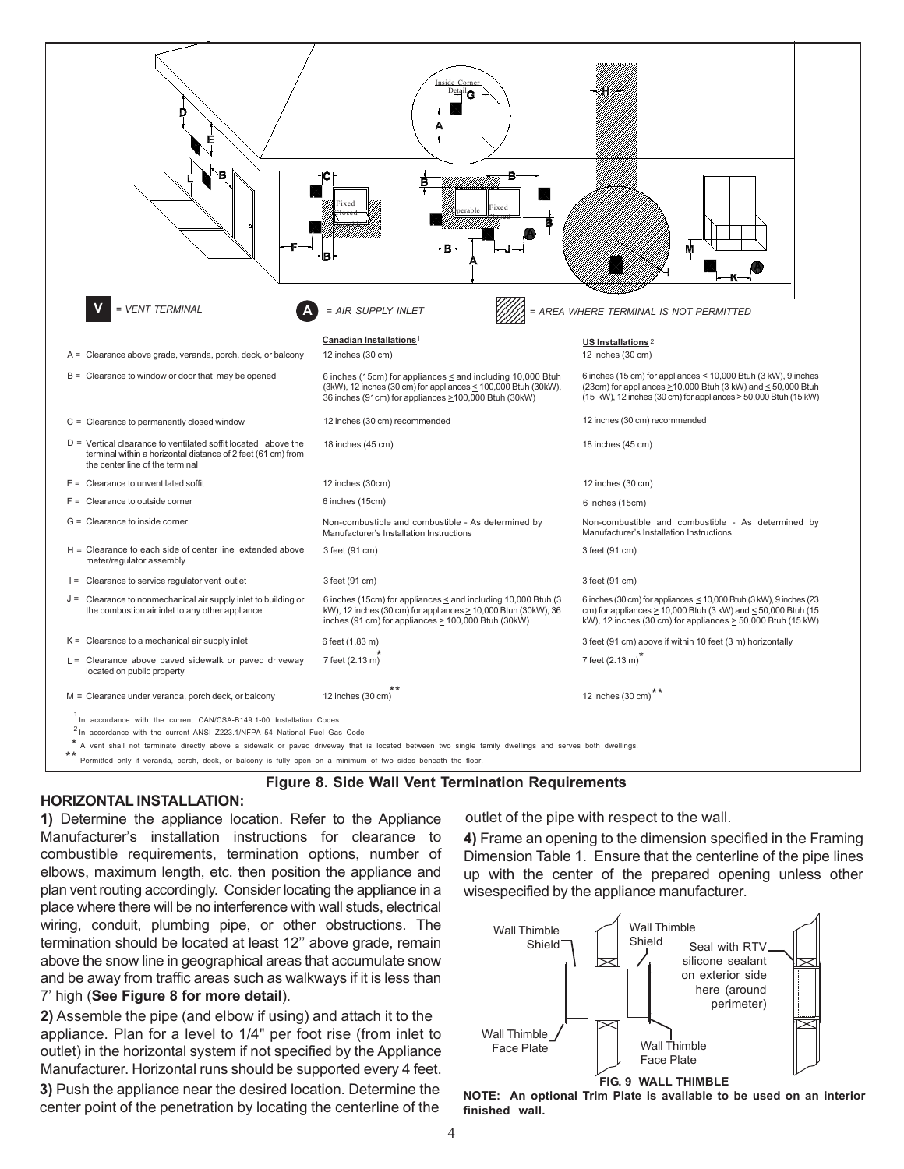

**Figure 8. Side Wall Vent Termination Requirements**

#### **HORIZONTAL INSTALLATION:**

**1)** Determine the appliance location. Refer to the Appliance Manufacturer's installation instructions for clearance to combustible requirements, termination options, number of elbows, maximum length, etc. then position the appliance and plan vent routing accordingly. Consider locating the appliance in a place where there will be no interference with wall studs, electrical wiring, conduit, plumbing pipe, or other obstructions. The termination should be located at least 12'' above grade, remain above the snow line in geographical areas that accumulate snow and be away from traffic areas such as walkways if it is less than 7' high (**See Figure 8 for more detail**).

**2)** Assemble the pipe (and elbow if using) and attach it to the appliance. Plan for a level to 1/4" per foot rise (from inlet to outlet) in the horizontal system if not specified by the Appliance Manufacturer. Horizontal runs should be supported every 4 feet. **3)** Push the appliance near the desired location. Determine the center point of the penetration by locating the centerline of the

outlet of the pipe with respect to the wall.

**4)** Frame an opening to the dimension specified in the Framing Dimension Table 1. Ensure that the centerline of the pipe lines up with the center of the prepared opening unless other wisespecified by the appliance manufacturer.



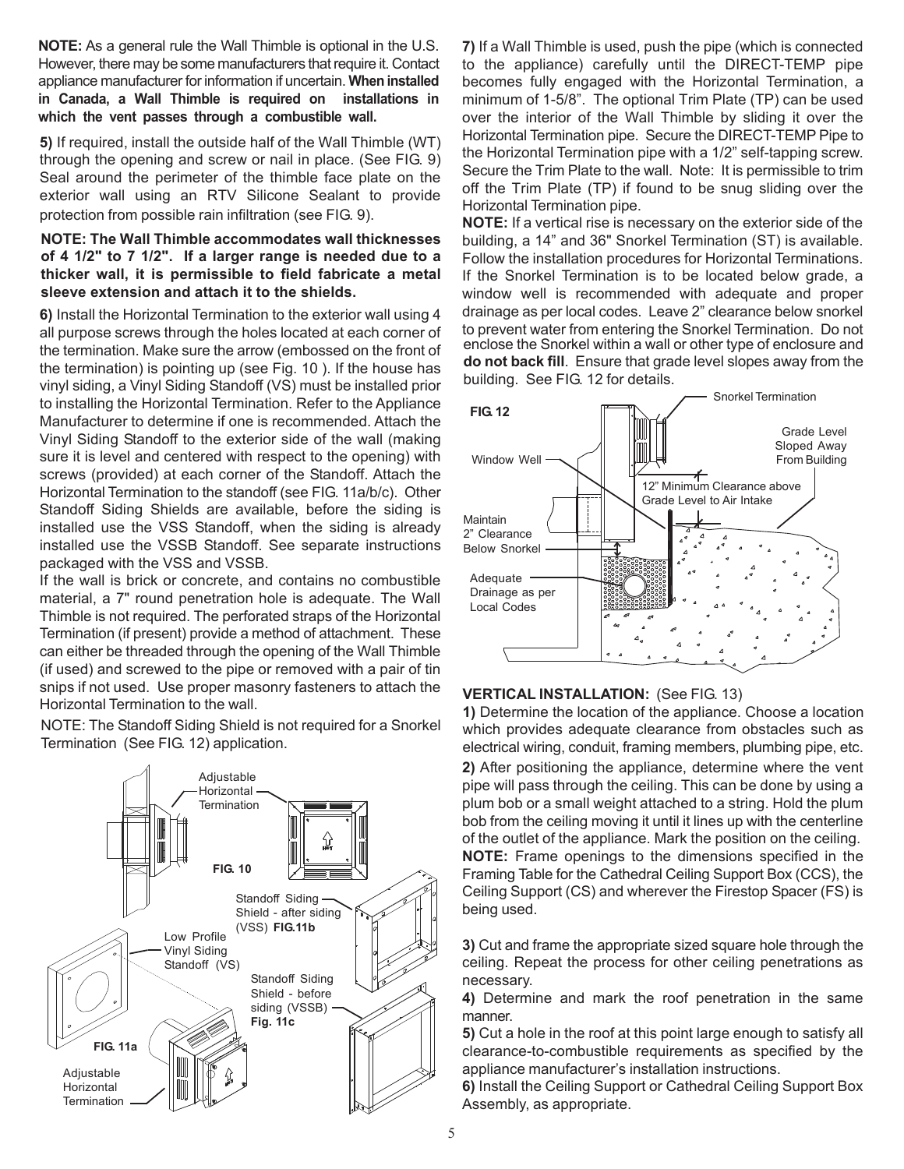**NOTE:** As a general rule the Wall Thimble is optional in the U.S. However, there may be some manufacturers that require it. Contact appliance manufacturer for information if uncertain. **When installed in Canada, a Wall Thimble is required on installations in which the vent passes through a combustible wall.**

**5)** If required, install the outside half of the Wall Thimble (WT) through the opening and screw or nail in place. (See FIG. 9) Seal around the perimeter of the thimble face plate on the exterior wall using an RTV Silicone Sealant to provide protection from possible rain infiltration (see FIG. 9).

#### **NOTE: The Wall Thimble accommodates wall thicknesses of 4 1/2" to 7 1/2". If a larger range is needed due to a thicker wall, it is permissible to field fabricate a metal sleeve extension and attach it to the shields.**

**6)** Install the Horizontal Termination to the exterior wall using 4 all purpose screws through the holes located at each corner of the termination. Make sure the arrow (embossed on the front of the termination) is pointing up (see Fig. 10 ). If the house has vinyl siding, a Vinyl Siding Standoff (VS) must be installed prior to installing the Horizontal Termination. Refer to the Appliance Manufacturer to determine if one is recommended. Attach the Vinyl Siding Standoff to the exterior side of the wall (making sure it is level and centered with respect to the opening) with screws (provided) at each corner of the Standoff. Attach the Horizontal Termination to the standoff (see FIG. 11a/b/c). Other Standoff Siding Shields are available, before the siding is installed use the VSS Standoff, when the siding is already installed use the VSSB Standoff. See separate instructions packaged with the VSS and VSSB.

If the wall is brick or concrete, and contains no combustible material, a 7" round penetration hole is adequate. The Wall Thimble is not required. The perforated straps of the Horizontal Termination (if present) provide a method of attachment. These can either be threaded through the opening of the Wall Thimble (if used) and screwed to the pipe or removed with a pair of tin snips if not used. Use proper masonry fasteners to attach the Horizontal Termination to the wall.

NOTE: The Standoff Siding Shield is not required for a Snorkel Termination (See FIG. 12) application.



**7)** If a Wall Thimble is used, push the pipe (which is connected to the appliance) carefully until the DIRECT-TEMP pipe becomes fully engaged with the Horizontal Termination, a minimum of 1-5/8". The optional Trim Plate (TP) can be used over the interior of the Wall Thimble by sliding it over the Horizontal Termination pipe. Secure the DIRECT-TEMP Pipe to the Horizontal Termination pipe with a 1/2" self-tapping screw. Secure the Trim Plate to the wall. Note: It is permissible to trim off the Trim Plate (TP) if found to be snug sliding over the Horizontal Termination pipe.

enclose the Snorkel within a wall or other type of enclosure and **do not back fill**. Ensure that grade level slopes away from the building. See FIG. 12 for details. **NOTE:** If a vertical rise is necessary on the exterior side of the building, a 14" and 36" Snorkel Termination (ST) is available. Follow the installation procedures for Horizontal Terminations. If the Snorkel Termination is to be located below grade, a window well is recommended with adequate and proper drainage as per local codes. Leave 2" clearance below snorkel to prevent water from entering the Snorkel Termination. Do not



#### **VERTICAL INSTALLATION:** (See FIG. 13)

**2)** After positioning the appliance, determine where the vent pipe will pass through the ceiling. This can be done by using a plum bob or a small weight attached to a string. Hold the plum bob from the ceiling moving it until it lines up with the centerline of the outlet of the appliance. Mark the position on the ceiling. **NOTE:** Frame openings to the dimensions specified in the Framing Table for the Cathedral Ceiling Support Box (CCS), the Ceiling Support (CS) and wherever the Firestop Spacer (FS) is being used. **1)** Determine the location of the appliance. Choose a location which provides adequate clearance from obstacles such as electrical wiring, conduit, framing members, plumbing pipe, etc.

**3)** Cut and frame the appropriate sized square hole through the ceiling. Repeat the process for other ceiling penetrations as necessary.

**4)** Determine and mark the roof penetration in the same manner.

**5)** Cut a hole in the roof at this point large enough to satisfy all clearance-to-combustible requirements as specified by the appliance manufacturer's installation instructions.

**6)** Install the Ceiling Support or Cathedral Ceiling Support Box Assembly, as appropriate.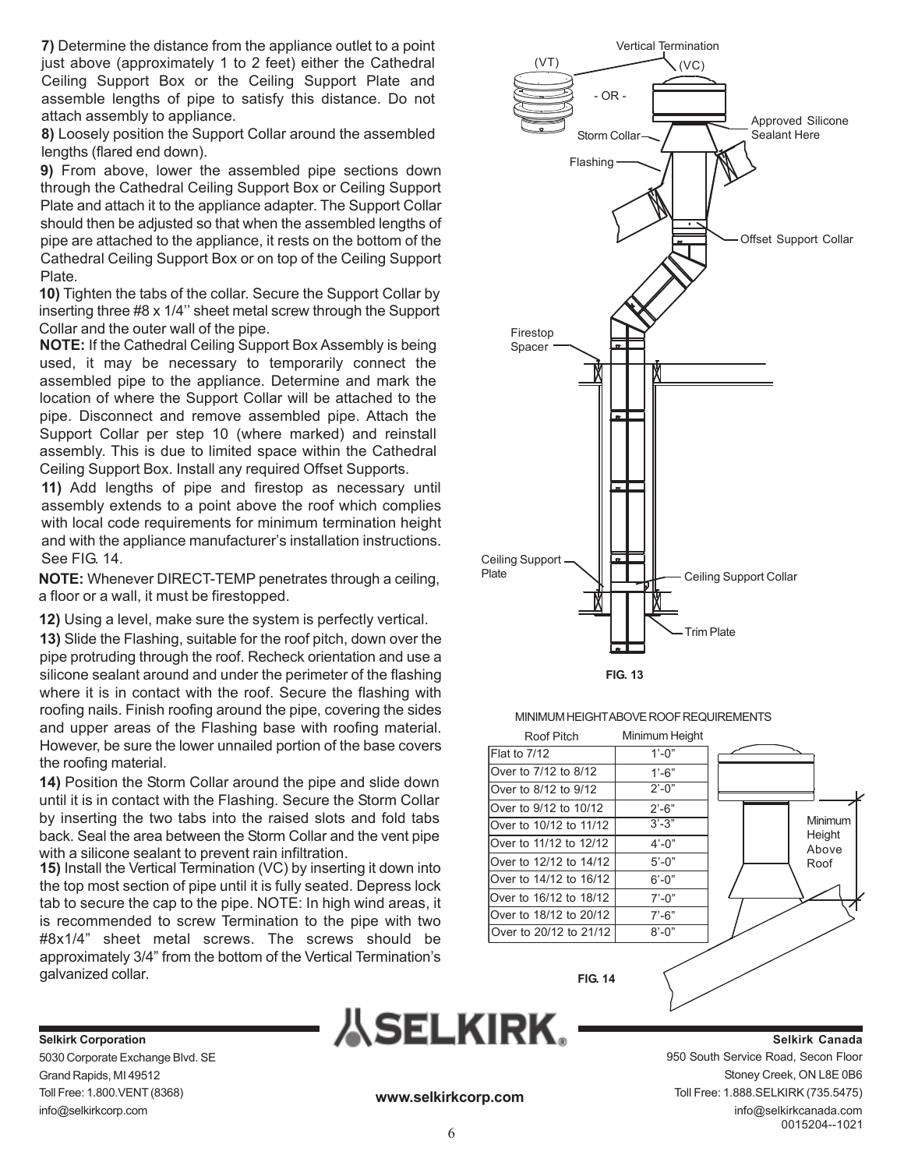**7)** Determine the distance from the appliance outlet to a point just above (approximately 1 to 2 feet) either the Cathedral Ceiling Support Box or the Ceiling Support Plate and assemble lengths of pipe to satisfy this distance. Do not attach assembly to appliance.

**8)** Loosely position the Support Collar around the assembled lengths (flared end down).

**9)** From above, lower the assembled pipe sections down through the Cathedral Ceiling Support Box or Ceiling Support Plate and attach it to the appliance adapter. The Support Collar should then be adjusted so that when the assembled lengths of pipe are attached to the appliance, it rests on the bottom of the Cathedral Ceiling Support Box or on top of the Ceiling Support Plate.

**10)** Tighten the tabs of the collar. Secure the Support Collar by inserting three #8 x 1/4'' sheet metal screw through the Support Collar and the outer wall of the pipe.

**NOTE:** If the Cathedral Ceiling Support Box Assembly is being used, it may be necessary to temporarily connect the assembled pipe to the appliance. Determine and mark the location of where the Support Collar will be attached to the pipe. Disconnect and remove assembled pipe. Attach the Support Collar per step 10 (where marked) and reinstall assembly. This is due to limited space within the Cathedral Ceiling Support Box. Install any required Offset Supports.

**11)** Add lengths of pipe and firestop as necessary until assembly extends to a point above the roof which complies with local code requirements for minimum termination height and with the appliance manufacturer's installation instructions. See FIG. 14.

**NOTE:** Whenever DIRECT-TEMP penetrates through a ceiling, a floor or a wall, it must be firestopped.

**12)** Using a level, make sure the system is perfectly vertical.

**13)** Slide the Flashing, suitable for the roof pitch, down over the pipe protruding through the roof. Recheck orientation and use a silicone sealant around and under the perimeter of the flashing where it is in contact with the roof. Secure the flashing with roofing nails. Finish roofing around the pipe, covering the sides and upper areas of the Flashing base with roofing material. However, be sure the lower unnailed portion of the base covers the roofing material.

**14)** Position the Storm Collar around the pipe and slide down until it is in contact with the Flashing. Secure the Storm Collar by inserting the two tabs into the raised slots and fold tabs back. Seal the area between the Storm Collar and the vent pipe with a silicone sealant to prevent rain infiltration.

**15)** Install the Vertical Termination (VC) by inserting it down into the top most section of pipe until it is fully seated. Depress lock tab to secure the cap to the pipe. NOTE: In high wind areas, it is recommended to screw Termination to the pipe with two #8x1/4" sheet metal screws. The screws should be approximately 3/4" from the bottom of the Vertical Termination's galvanized collar.



#### MINIMUM HEIGHT ABOVE ROOF REQUIREMENTS

| Roof Pitch             | Minimum Height   |                   |
|------------------------|------------------|-------------------|
| <b>Flat to 7/12</b>    | $1' - 0''$       |                   |
| Over to 7/12 to 8/12   | $1' - 6"$        |                   |
| Over to 8/12 to 9/12   | $2^{\prime}$ -0" |                   |
| Over to 9/12 to 10/12  | $2' - 6"$        |                   |
| Over to 10/12 to 11/12 | $3' - 3"$        | Minimum<br>Height |
| Over to 11/12 to 12/12 | $4' - 0''$       | Above             |
| Over to 12/12 to 14/12 | $5' - 0''$       | Roof              |
| Over to 14/12 to 16/12 | $6' - 0''$       |                   |
| Over to 16/12 to 18/12 | $7' - 0''$       |                   |
| Over to 18/12 to 20/12 | $7' - 6"$        |                   |
| Over to 20/12 to 21/12 | $8' - 0''$       |                   |
|                        |                  |                   |

**FIG. 14**



0015204--1021 **Selkirk Canada** 950 South Service Road, Secon Floor Stoney Creek, ON L8E 0B6 Toll Free: 1.888.SELKIRK (735.5475) info@selkirkcanada.com

**Selkirk Corporation** 5030 Corporate Exchange Blvd. SE Grand Rapids, MI 49512 Toll Free: 1.800.VENT (8368) info@selkirkcorp.com

**www.selkirkcorp.com**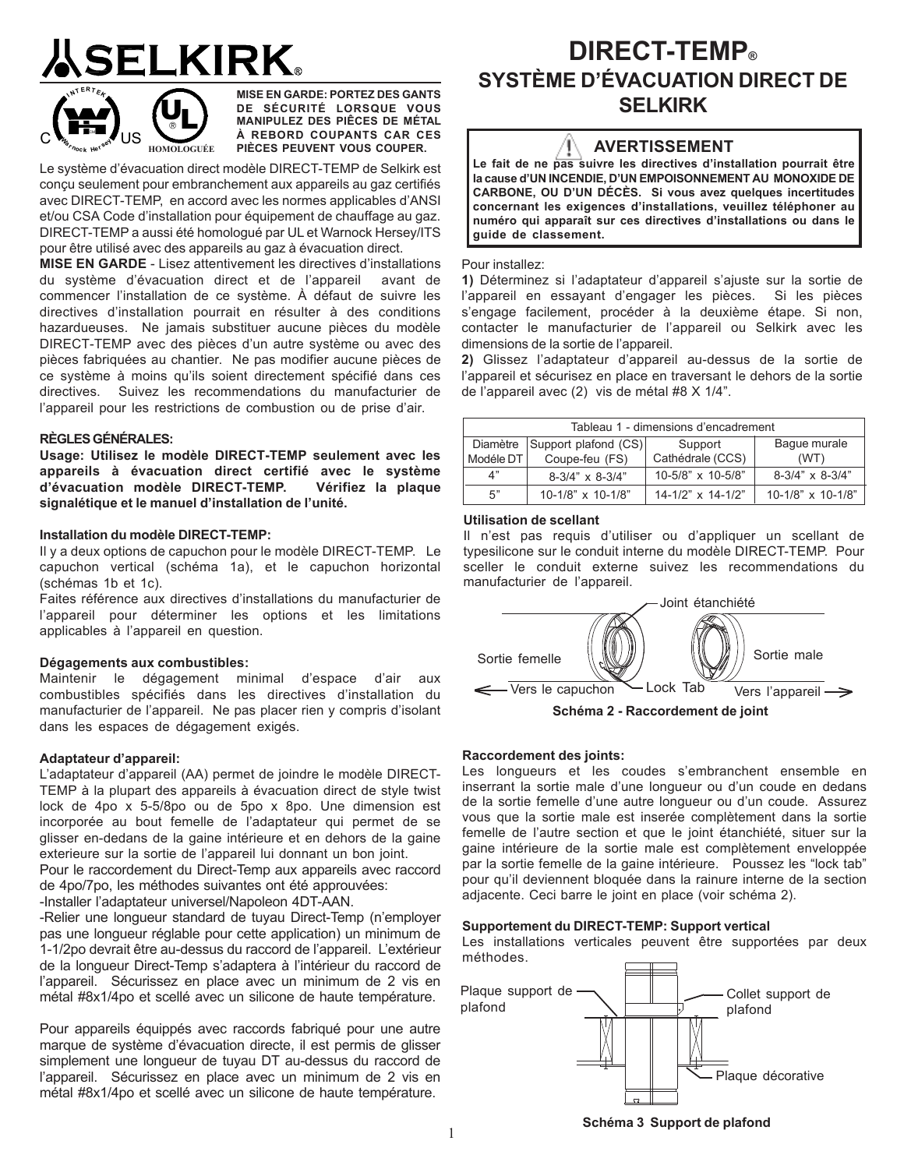# **ELKIRK**



**MISE EN GARDE: PORTEZ DES GANTS DE SÉCURITÉ LORSQUE VOUS MANIPULEZ DES PIÊCES DE MÉTAL À REBORD COUPANTS CAR CES** PIÈCES PEUVENT VOUS COUPER.

Le système d'évacuation direct modèle DIRECT-TEMP de Selkirk est conçu seulement pour embranchement aux appareils au gaz certifiés avec DIRECT-TEMP, en accord avec les normes applicables d'ANSI et/ou CSA Code d'installation pour équipement de chauffage au gaz. DIRECT-TEMP a aussi été homologué par UL et Warnock Hersey/ITS pour être utilisé avec des appareils au gaz à évacuation direct.

**MISE EN GARDE** - Lisez attentivement les directives d'installations du système d'évacuation direct et de l'appareil avant de commencer l'installation de ce système. À défaut de suivre les directives d'installation pourrait en résulter à des conditions hazardueuses. Ne jamais substituer aucune pièces du modèle DIRECT-TEMP avec des pièces d'un autre système ou avec des pièces fabriquées au chantier. Ne pas modifier aucune pièces de ce système à moins qu'ils soient directement spécifié dans ces directives. Suivez les recommendations du manufacturier de l'appareil pour les restrictions de combustion ou de prise d'air.

#### **RÈGLES GÉNÉRALES:**

**Usage: Utilisez le modèle DIRECT-TEMP seulement avec les appareils à évacuation direct certifié avec le système d'évacuation modèle DIRECT-TEMP. Vérifiez la plaque signalétique et le manuel d'installation de l'unité.**

#### **Installation du modèle DIRECT-TEMP:**

Il y a deux options de capuchon pour le modèle DIRECT-TEMP. Le capuchon vertical (schéma 1a), et le capuchon horizontal (schémas 1b et 1c).

Faites référence aux directives d'installations du manufacturier de l'appareil pour déterminer les options et les limitations applicables à l'appareil en question.

#### **Dégagements aux combustibles:**

Maintenir le dégagement minimal d'espace d'air aux combustibles spécifiés dans les directives d'installation du manufacturier de l'appareil. Ne pas placer rien y compris d'isolant dans les espaces de dégagement exigés.

#### **Adaptateur d'appareil:**

L'adaptateur d'appareil (AA) permet de joindre le modèle DIRECT-TEMP à la plupart des appareils à évacuation direct de style twist lock de 4po x 5-5/8po ou de 5po x 8po. Une dimension est incorporée au bout femelle de l'adaptateur qui permet de se glisser en-dedans de la gaine intérieure et en dehors de la gaine exterieure sur la sortie de l'appareil lui donnant un bon joint.

Pour le raccordement du Direct-Temp aux appareils avec raccord de 4po/7po, les méthodes suivantes ont été approuvées:

-Installer l'adaptateur universel/Napoleon 4DT-AAN.

-Relier une longueur standard de tuyau Direct-Temp (n'employer pas une longueur réglable pour cette application) un minimum de 1-1/2po devrait être au-dessus du raccord de l'appareil. L'extérieur de la longueur Direct-Temp s'adaptera à l'intérieur du raccord de l'appareil. Sécurissez en place avec un minimum de 2 vis en métal #8x1/4po et scellé avec un silicone de haute température.

Pour appareils équippés avec raccords fabriqué pour une autre marque de système d'évacuation directe, il est permis de glisser simplement une longueur de tuyau DT au-dessus du raccord de l'appareil. Sécurissez en place avec un minimum de 2 vis en métal #8x1/4po et scellé avec un silicone de haute température.

## **DIRECT-TEMP® SYSTÈME D'ÉVACUATION DIRECT DE SELKIRK**

**Le fait de ne pas suivre les directives d'installation pourrait être la cause d'UN INCENDIE, D'UN EMPOISONNEMENT AU MONOXIDE DE CARBONE, OU D'UN DÉCÈS. Si vous avez quelques incertitudes concernant les exigences d'installations, veuillez téléphoner au numéro qui apparaît sur ces directives d'installations ou dans le guide de classement.**

#### Pour installez:

**1)** Déterminez si l'adaptateur d'appareil s'ajuste sur la sortie de l'appareil en essayant d'engager les pièces. Si les pièces s'engage facilement, procéder à la deuxième étape. Si non, contacter le manufacturier de l'appareil ou Selkirk avec les dimensions de la sortie de l'appareil.

**2)** Glissez l'adaptateur d'appareil au-dessus de la sortie de l'appareil et sécurisez en place en traversant le dehors de la sortie de l'appareil avec (2) vis de métal #8 X 1/4".

| Tableau 1 - dimensions d'encadrement |                         |                          |                         |  |
|--------------------------------------|-------------------------|--------------------------|-------------------------|--|
| Diamètre                             | Support plafond (CS)    | Support                  | Baque murale            |  |
| Modéle DT                            | Coupe-feu (FS)          | Cathédrale (CCS)         | (WT)                    |  |
| 4"                                   | $8-3/4" \times 8-3/4"$  | 10-5/8" x 10-5/8"        | $8-3/4" \times 8-3/4"$  |  |
| 5"                                   | $10-1/8$ " x $10-1/8$ " | $14-1/2" \times 14-1/2"$ | $10-1/8$ " x $10-1/8$ " |  |

#### **Utilisation de scellant**

Il n'est pas requis d'utiliser ou d'appliquer un scellant de typesilicone sur le conduit interne du modèle DIRECT-TEMP. Pour sceller le conduit externe suivez les recommendations du manufacturier de l'appareil.



#### **Raccordement des joints:**

Les longueurs et les coudes s'embranchent ensemble en inserrant la sortie male d'une longueur ou d'un coude en dedans de la sortie femelle d'une autre longueur ou d'un coude. Assurez vous que la sortie male est inserée complètement dans la sortie femelle de l'autre section et que le joint étanchiété, situer sur la gaine intérieure de la sortie male est complètement enveloppée par la sortie femelle de la gaine intérieure. Poussez les "lock tab" pour qu'il deviennent bloquée dans la rainure interne de la section adjacente. Ceci barre le joint en place (voir schéma 2).

#### **Supportement du DIRECT-TEMP: Support vertical**

Les installations verticales peuvent être supportées par deux méthodes.



**Schéma 3 Support de plafond**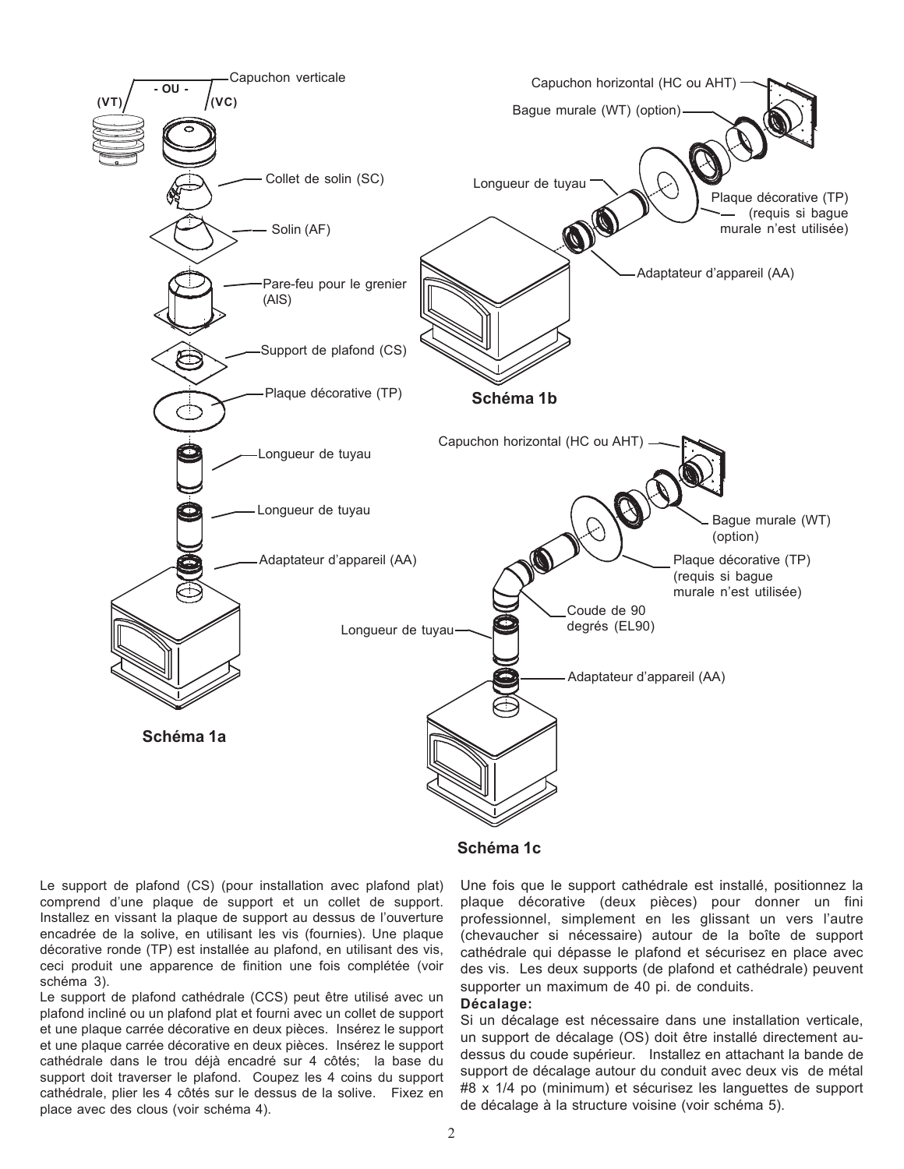

#### **Schéma 1c**

Le support de plafond (CS) (pour installation avec plafond plat) comprend d'une plaque de support et un collet de support. Installez en vissant la plaque de support au dessus de l'ouverture encadrée de la solive, en utilisant les vis (fournies). Une plaque décorative ronde (TP) est installée au plafond, en utilisant des vis, ceci produit une apparence de finition une fois complétée (voir schéma 3).

Le support de plafond cathédrale (CCS) peut être utilisé avec un plafond incliné ou un plafond plat et fourni avec un collet de support et une plaque carrée décorative en deux pièces. Insérez le support et une plaque carrée décorative en deux pièces. Insérez le support cathédrale dans le trou déjà encadré sur 4 côtés; la base du support doit traverser le plafond. Coupez les 4 coins du support cathédrale, plier les 4 côtés sur le dessus de la solive. Fixez en place avec des clous (voir schéma 4).

Une fois que le support cathédrale est installé, positionnez la plaque décorative (deux pièces) pour donner un fini professionnel, simplement en les glissant un vers l'autre (chevaucher si nécessaire) autour de la boîte de support cathédrale qui dépasse le plafond et sécurisez en place avec des vis. Les deux supports (de plafond et cathédrale) peuvent supporter un maximum de 40 pi. de conduits.

#### **Décalage:**

Si un décalage est nécessaire dans une installation verticale, un support de décalage (OS) doit être installé directement audessus du coude supérieur. Installez en attachant la bande de support de décalage autour du conduit avec deux vis de métal #8 x 1/4 po (minimum) et sécurisez les languettes de support de décalage à la structure voisine (voir schéma 5).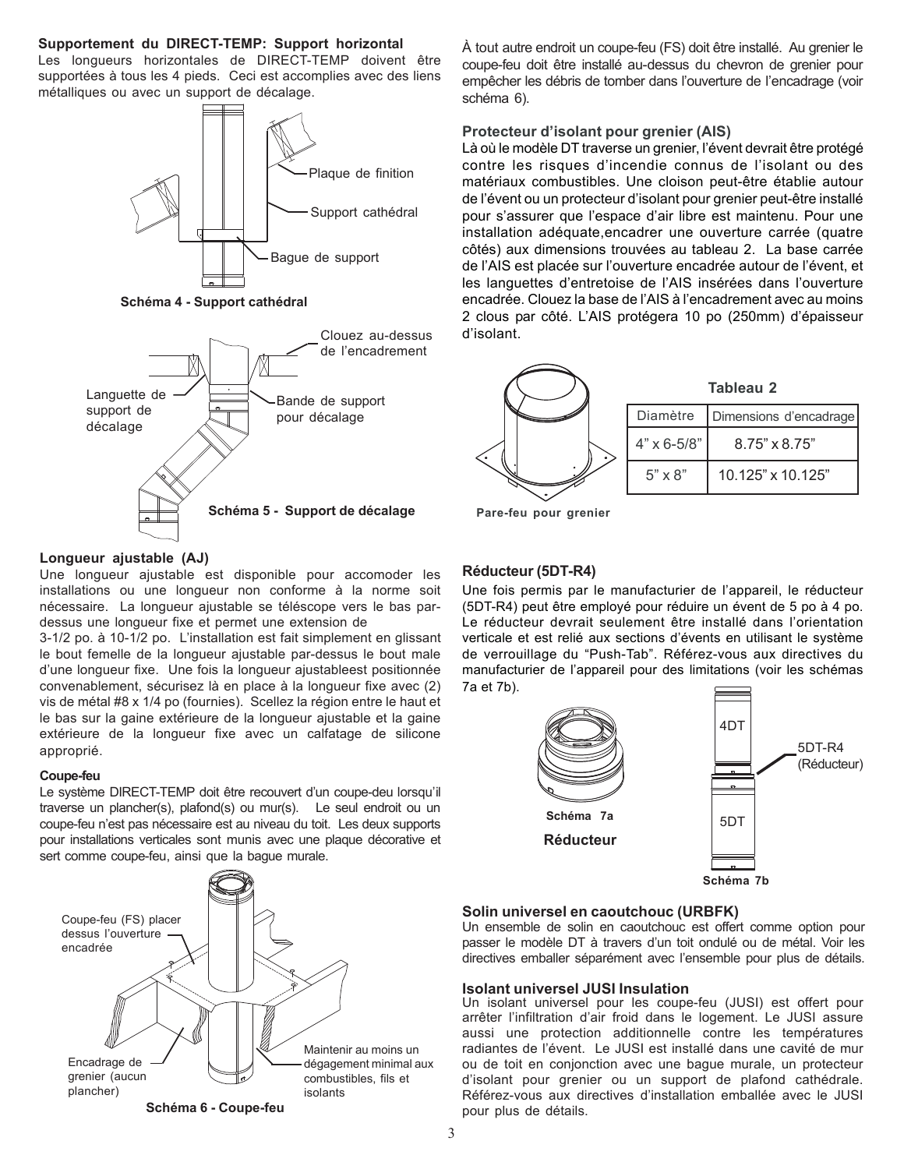#### **Supportement du DIRECT-TEMP: Support horizontal**

Les longueurs horizontales de DIRECT-TEMP doivent être supportées à tous les 4 pieds. Ceci est accomplies avec des liens métalliques ou avec un support de décalage.



**Schéma 4 - Support cathédral**



#### **Longueur ajustable (AJ)**

Une longueur ajustable est disponible pour accomoder les installations ou une longueur non conforme à la norme soit nécessaire. La longueur ajustable se téléscope vers le bas pardessus une longueur fixe et permet une extension de

3-1/2 po. à 10-1/2 po. L'installation est fait simplement en glissant le bout femelle de la longueur ajustable par-dessus le bout male d'une longueur fixe. Une fois la longueur ajustableest positionnée convenablement, sécurisez là en place à la longueur fixe avec (2) vis de métal #8 x 1/4 po (fournies). Scellez la région entre le haut et le bas sur la gaine extérieure de la longueur ajustable et la gaine extérieure de la longueur fixe avec un calfatage de silicone approprié.

#### **Coupe-feu**

Le système DIRECT-TEMP doit être recouvert d'un coupe-deu lorsqu'il traverse un plancher(s), plafond(s) ou mur(s). Le seul endroit ou un coupe-feu n'est pas nécessaire est au niveau du toit. Les deux supports pour installations verticales sont munis avec une plaque décorative et sert comme coupe-feu, ainsi que la bague murale.



À tout autre endroit un coupe-feu (FS) doit être installé. Au grenier le coupe-feu doit être installé au-dessus du chevron de grenier pour empêcher les débris de tomber dans l'ouverture de l'encadrage (voir schéma 6).

#### **Protecteur d'isolant pour grenier (AIS)**

Là où le modèle DT traverse un grenier, l'évent devrait être protégé contre les risques d'incendie connus de l'isolant ou des matériaux combustibles. Une cloison peut-être établie autour de l'évent ou un protecteur d'isolant pour grenier peut-être installé pour s'assurer que l'espace d'air libre est maintenu. Pour une installation adéquate,encadrer une ouverture carrée (quatre côtés) aux dimensions trouvées au tableau 2. La base carrée de l'AIS est placée sur l'ouverture encadrée autour de l'évent, et les languettes d'entretoise de l'AIS insérées dans l'ouverture encadrée. Clouez la base de l'AIS à l'encadrement avec au moins 2 clous par côté. L'AIS protégera 10 po (250mm) d'épaisseur d'isolant.



**Pare-feu pour grenier**

#### **Réducteur (5DT-R4)**

Une fois permis par le manufacturier de l'appareil, le réducteur (5DT-R4) peut être employé pour réduire un évent de 5 po à 4 po. Le réducteur devrait seulement être installé dans l'orientation verticale et est relié aux sections d'évents en utilisant le système de verrouillage du "Push-Tab". Référez-vous aux directives du manufacturier de l'appareil pour des limitations (voir les schémas 7a et 7b).



#### **Solin universel en caoutchouc (URBFK)**

Un ensemble de solin en caoutchouc est offert comme option pour passer le modèle DT à travers d'un toit ondulé ou de métal. Voir les directives emballer séparément avec l'ensemble pour plus de détails.

#### **Isolant universel JUSI Insulation**

Un isolant universel pour les coupe-feu (JUSI) est offert pour arrêter l'infiltration d'air froid dans le logement. Le JUSI assure aussi une protection additionnelle contre les températures radiantes de l'évent. Le JUSI est installé dans une cavité de mur ou de toit en conjonction avec une bague murale, un protecteur d'isolant pour grenier ou un support de plafond cathédrale. Référez-vous aux directives d'installation emballée avec le JUSI pour plus de détails.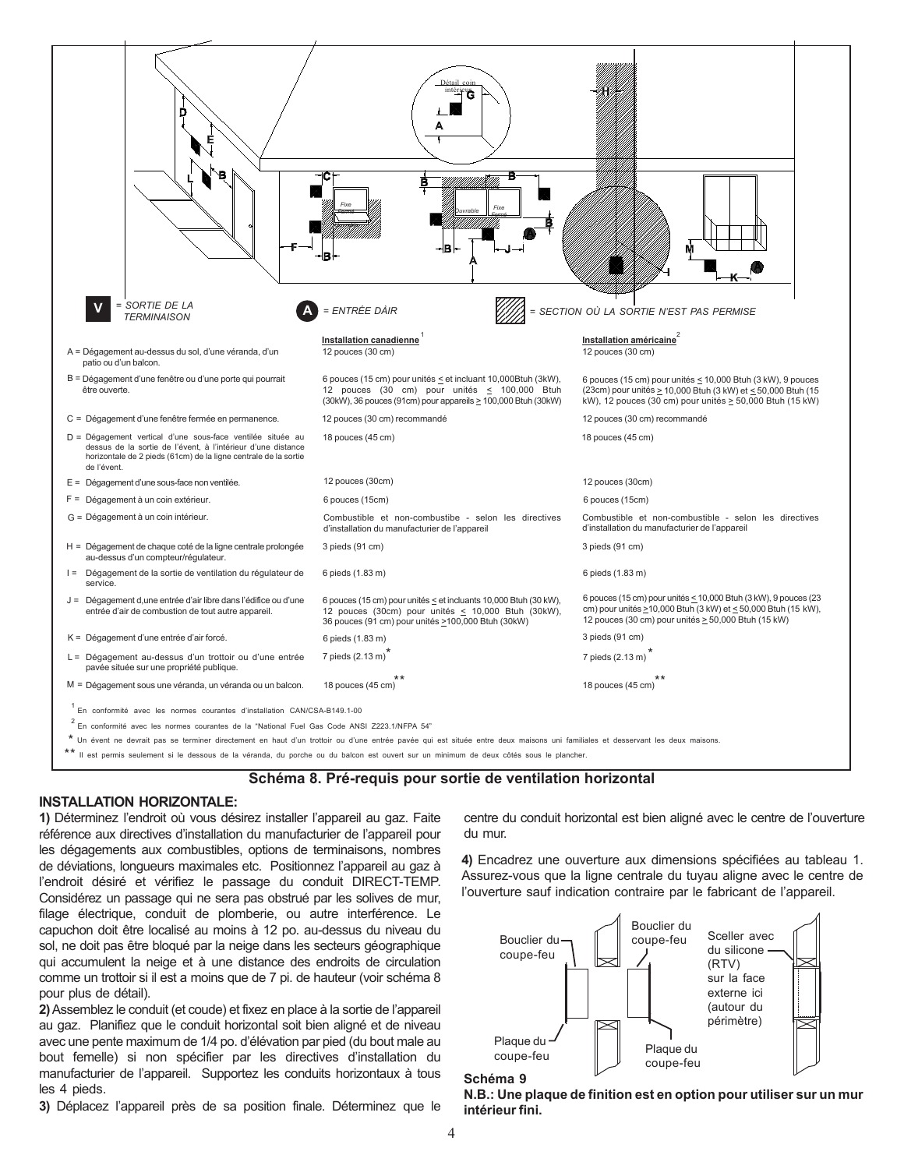

#### **Schéma 8. Pré-requis pour sortie de ventilation horizontal**

#### **INSTALLATION HORIZONTALE:**

**1)** Déterminez l'endroit où vous désirez installer l'appareil au gaz. Faite référence aux directives d'installation du manufacturier de l'appareil pour les dégagements aux combustibles, options de terminaisons, nombres de déviations, longueurs maximales etc. Positionnez l'appareil au gaz à l'endroit désiré et vérifiez le passage du conduit DIRECT-TEMP. Considérez un passage qui ne sera pas obstrué par les solives de mur, filage électrique, conduit de plomberie, ou autre interférence. Le capuchon doit être localisé au moins à 12 po. au-dessus du niveau du sol, ne doit pas être bloqué par la neige dans les secteurs géographique qui accumulent la neige et à une distance des endroits de circulation comme un trottoir si il est a moins que de 7 pi. de hauteur (voir schéma 8 pour plus de détail).

**2)** Assemblez le conduit (et coude) et fixez en place à la sortie de l'appareil au gaz. Planifiez que le conduit horizontal soit bien aligné et de niveau avec une pente maximum de 1/4 po. d'élévation par pied (du bout male au bout femelle) si non spécifier par les directives d'installation du manufacturier de l'appareil. Supportez les conduits horizontaux à tous les 4 pieds.

**3)** Déplacez l'appareil près de sa position finale. Déterminez que le

centre du conduit horizontal est bien aligné avec le centre de l'ouverture du mur.

**4)** Encadrez une ouverture aux dimensions spécifiées au tableau 1. Assurez-vous que la ligne centrale du tuyau aligne avec le centre de l'ouverture sauf indication contraire par le fabricant de l'appareil.





**N.B.: Une plaque de finition est en option pour utiliser sur un mur intérieur fini.**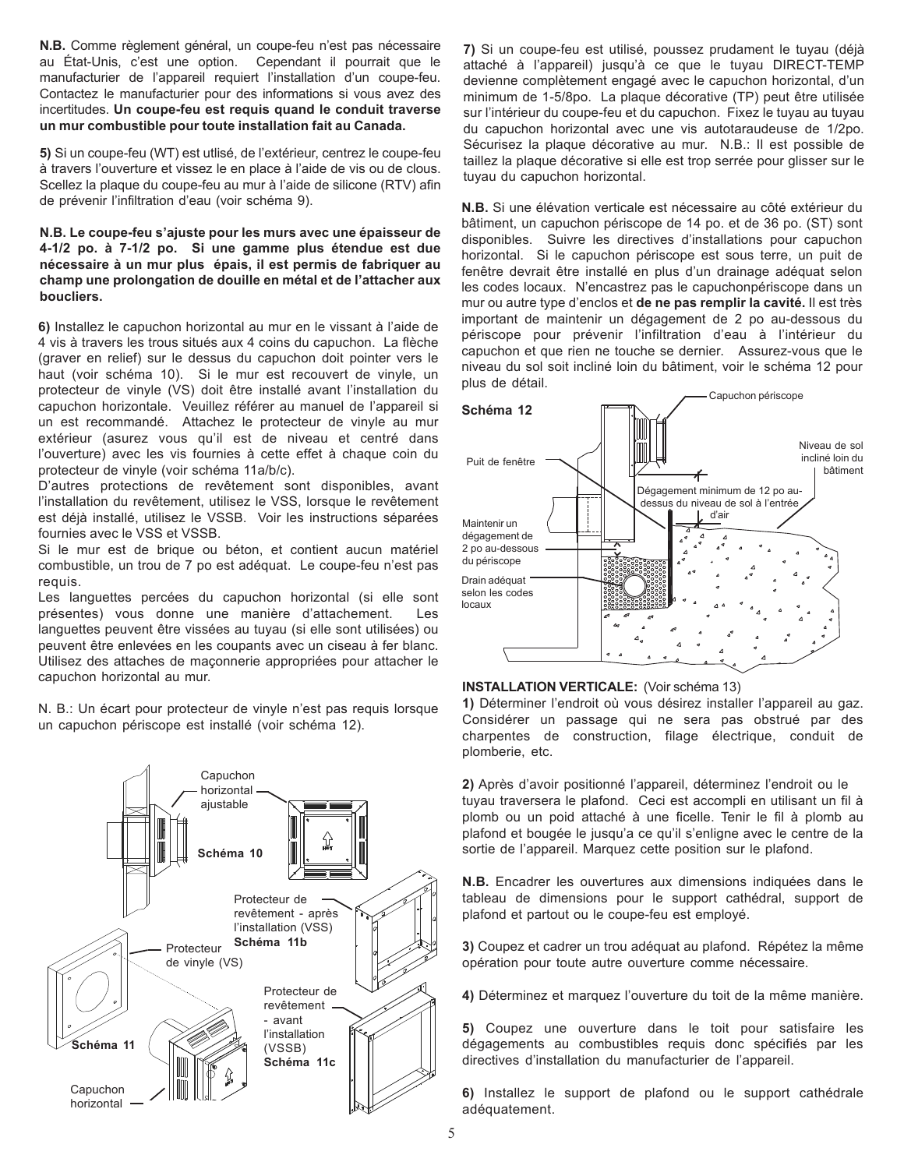**N.B.** Comme règlement général, un coupe-feu n'est pas nécessaire au État-Unis, c'est une option. Cependant il pourrait que le manufacturier de l'appareil requiert l'installation d'un coupe-feu. Contactez le manufacturier pour des informations si vous avez des incertitudes. **Un coupe-feu est requis quand le conduit traverse un mur combustible pour toute installation fait au Canada.**

**5)** Si un coupe-feu (WT) est utlisé, de l'extérieur, centrez le coupe-feu à travers l'ouverture et vissez le en place à l'aide de vis ou de clous. Scellez la plaque du coupe-feu au mur à l'aide de silicone (RTV) afin de prévenir l'infiltration d'eau (voir schéma 9).

#### **N.B. Le coupe-feu s'ajuste pour les murs avec une épaisseur de 4-1/2 po. à 7-1/2 po. Si une gamme plus étendue est due nécessaire à un mur plus épais, il est permis de fabriquer au champ une prolongation de douille en métal et de l'attacher aux boucliers.**

**6)** Installez le capuchon horizontal au mur en le vissant à l'aide de 4 vis à travers les trous situés aux 4 coins du capuchon. La flèche (graver en relief) sur le dessus du capuchon doit pointer vers le haut (voir schéma 10). Si le mur est recouvert de vinyle, un protecteur de vinyle (VS) doit être installé avant l'installation du capuchon horizontale. Veuillez référer au manuel de l'appareil si un est recommandé. Attachez le protecteur de vinyle au mur extérieur (asurez vous qu'il est de niveau et centré dans l'ouverture) avec les vis fournies à cette effet à chaque coin du protecteur de vinyle (voir schéma 11a/b/c).

D'autres protections de revêtement sont disponibles, avant l'installation du revêtement, utilisez le VSS, lorsque le revêtement est déjà installé, utilisez le VSSB. Voir les instructions séparées fournies avec le VSS et VSSB.

Si le mur est de brique ou béton, et contient aucun matériel combustible, un trou de 7 po est adéquat. Le coupe-feu n'est pas requis.

Les languettes percées du capuchon horizontal (si elle sont présentes) vous donne une manière d'attachement. Les languettes peuvent être vissées au tuyau (si elle sont utilisées) ou peuvent être enlevées en les coupants avec un ciseau à fer blanc. Utilisez des attaches de maçonnerie appropriées pour attacher le capuchon horizontal au mur.

N. B.: Un écart pour protecteur de vinyle n'est pas requis lorsque un capuchon périscope est installé (voir schéma 12).



**7)** Si un coupe-feu est utilisé, poussez prudament le tuyau (déjà attaché à l'appareil) jusqu'à ce que le tuyau DIRECT-TEMP devienne complètement engagé avec le capuchon horizontal, d'un minimum de 1-5/8po. La plaque décorative (TP) peut être utilisée sur l'intérieur du coupe-feu et du capuchon. Fixez le tuyau au tuyau du capuchon horizontal avec une vis autotaraudeuse de 1/2po. Sécurisez la plaque décorative au mur. N.B.: Il est possible de taillez la plaque décorative si elle est trop serrée pour glisser sur le tuyau du capuchon horizontal.

**N.B.** Si une élévation verticale est nécessaire au côté extérieur du bâtiment, un capuchon périscope de 14 po. et de 36 po. (ST) sont disponibles. Suivre les directives d'installations pour capuchon horizontal. Si le capuchon périscope est sous terre, un puit de fenêtre devrait être installé en plus d'un drainage adéquat selon les codes locaux. N'encastrez pas le capuchonpériscope dans un mur ou autre type d'enclos et **de ne pas remplir la cavité.** Il est très important de maintenir un dégagement de 2 po au-dessous du périscope pour prévenir l'infiltration d'eau à l'intérieur du capuchon et que rien ne touche se dernier. Assurez-vous que le niveau du sol soit incliné loin du bâtiment, voir le schéma 12 pour plus de détail.





**1)** Déterminer l'endroit où vous désirez installer l'appareil au gaz. Considérer un passage qui ne sera pas obstrué par des charpentes de construction, filage électrique, conduit de plomberie, etc.

**2)** Après d'avoir positionné l'appareil, déterminez l'endroit ou le tuyau traversera le plafond. Ceci est accompli en utilisant un fil à plomb ou un poid attaché à une ficelle. Tenir le fil à plomb au plafond et bougée le jusqu'a ce qu'il s'enligne avec le centre de la sortie de l'appareil. Marquez cette position sur le plafond.

**N.B.** Encadrer les ouvertures aux dimensions indiquées dans le tableau de dimensions pour le support cathédral, support de plafond et partout ou le coupe-feu est employé.

**3)** Coupez et cadrer un trou adéquat au plafond. Répétez la même opération pour toute autre ouverture comme nécessaire.

**4)** Déterminez et marquez l'ouverture du toit de la même manière.

**5)** Coupez une ouverture dans le toit pour satisfaire les dégagements au combustibles requis donc spécifiés par les directives d'installation du manufacturier de l'appareil.

**6)** Installez le support de plafond ou le support cathédrale adéquatement.